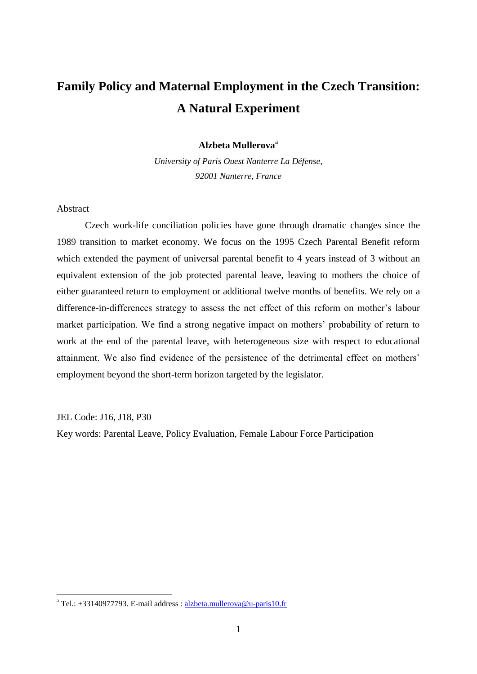## **Family Policy and Maternal Employment in the Czech Transition: A Natural Experiment**

## **Alzbeta Mullerova**<sup>a</sup>

*University of Paris Ouest Nanterre La Défense, 92001 Nanterre, France*

## Abstract

Czech work-life conciliation policies have gone through dramatic changes since the 1989 transition to market economy. We focus on the 1995 Czech Parental Benefit reform which extended the payment of universal parental benefit to 4 years instead of 3 without an equivalent extension of the job protected parental leave, leaving to mothers the choice of either guaranteed return to employment or additional twelve months of benefits. We rely on a difference-in-differences strategy to assess the net effect of this reform on mother's labour market participation. We find a strong negative impact on mothers' probability of return to work at the end of the parental leave, with heterogeneous size with respect to educational attainment. We also find evidence of the persistence of the detrimental effect on mothers' employment beyond the short-term horizon targeted by the legislator.

JEL Code: J16, J18, P30

<u>.</u>

Key words: Parental Leave, Policy Evaluation, Female Labour Force Participation

<sup>&</sup>lt;sup>a</sup> Tel.: +33140977793. E-mail address :  $\frac{alzbeta.mullerova@u-paris10.fr}{alzbeta.mullerova@u-paris10.fr}$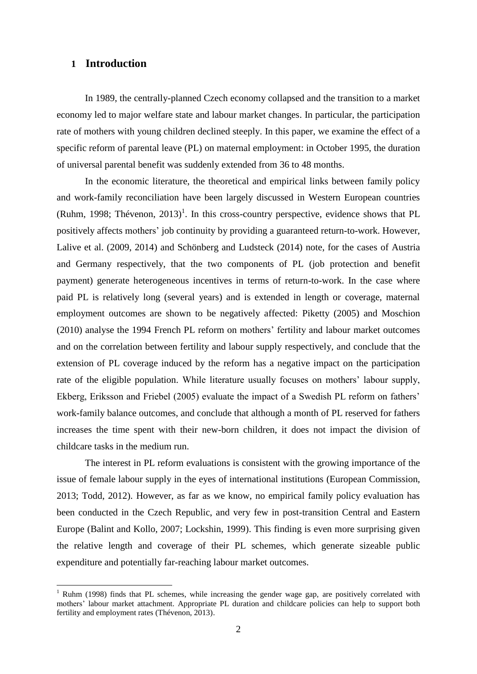## **1 Introduction**

1

In 1989, the centrally-planned Czech economy collapsed and the transition to a market economy led to major welfare state and labour market changes. In particular, the participation rate of mothers with young children declined steeply. In this paper, we examine the effect of a specific reform of parental leave (PL) on maternal employment: in October 1995, the duration of universal parental benefit was suddenly extended from 36 to 48 months.

In the economic literature, the theoretical and empirical links between family policy and work-family reconciliation have been largely discussed in Western European countries (Ruhm, 1998; Thévenon,  $2013$ )<sup>1</sup>. In this cross-country perspective, evidence shows that PL positively affects mothers' job continuity by providing a guaranteed return-to-work. However, Lalive et al. (2009, 2014) and Schönberg and Ludsteck (2014) note, for the cases of Austria and Germany respectively, that the two components of PL (job protection and benefit payment) generate heterogeneous incentives in terms of return-to-work. In the case where paid PL is relatively long (several years) and is extended in length or coverage, maternal employment outcomes are shown to be negatively affected: Piketty (2005) and Moschion (2010) analyse the 1994 French PL reform on mothers' fertility and labour market outcomes and on the correlation between fertility and labour supply respectively, and conclude that the extension of PL coverage induced by the reform has a negative impact on the participation rate of the eligible population. While literature usually focuses on mothers' labour supply, Ekberg, Eriksson and Friebel (2005) evaluate the impact of a Swedish PL reform on fathers' work-family balance outcomes, and conclude that although a month of PL reserved for fathers increases the time spent with their new-born children, it does not impact the division of childcare tasks in the medium run.

The interest in PL reform evaluations is consistent with the growing importance of the issue of female labour supply in the eyes of international institutions (European Commission, 2013; Todd, 2012). However, as far as we know, no empirical family policy evaluation has been conducted in the Czech Republic, and very few in post-transition Central and Eastern Europe (Balint and Kollo, 2007; Lockshin, 1999). This finding is even more surprising given the relative length and coverage of their PL schemes, which generate sizeable public expenditure and potentially far-reaching labour market outcomes.

 $1$  Ruhm (1998) finds that PL schemes, while increasing the gender wage gap, are positively correlated with mothers' labour market attachment. Appropriate PL duration and childcare policies can help to support both fertility and employment rates (Thévenon, 2013).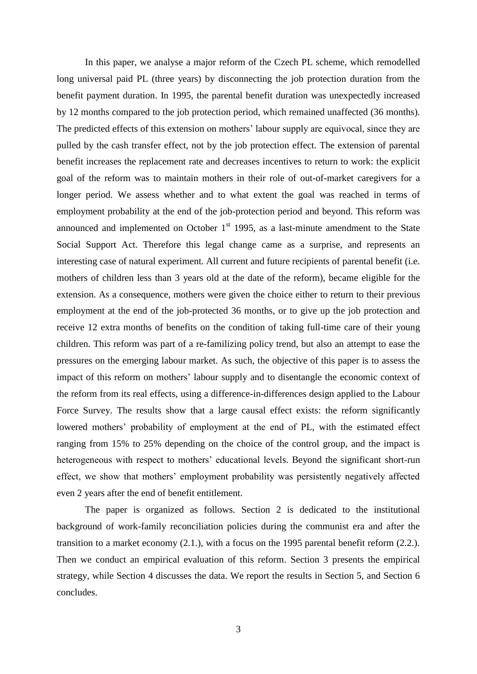In this paper, we analyse a major reform of the Czech PL scheme, which remodelled long universal paid PL (three years) by disconnecting the job protection duration from the benefit payment duration. In 1995, the parental benefit duration was unexpectedly increased by 12 months compared to the job protection period, which remained unaffected (36 months). The predicted effects of this extension on mothers' labour supply are equivocal, since they are pulled by the cash transfer effect, not by the job protection effect. The extension of parental benefit increases the replacement rate and decreases incentives to return to work: the explicit goal of the reform was to maintain mothers in their role of out-of-market caregivers for a longer period. We assess whether and to what extent the goal was reached in terms of employment probability at the end of the job-protection period and beyond. This reform was announced and implemented on October  $1<sup>st</sup>$  1995, as a last-minute amendment to the State Social Support Act. Therefore this legal change came as a surprise, and represents an interesting case of natural experiment. All current and future recipients of parental benefit (i.e. mothers of children less than 3 years old at the date of the reform), became eligible for the extension. As a consequence, mothers were given the choice either to return to their previous employment at the end of the job-protected 36 months, or to give up the job protection and receive 12 extra months of benefits on the condition of taking full-time care of their young children. This reform was part of a re-familizing policy trend, but also an attempt to ease the pressures on the emerging labour market. As such, the objective of this paper is to assess the impact of this reform on mothers' labour supply and to disentangle the economic context of the reform from its real effects, using a difference-in-differences design applied to the Labour Force Survey. The results show that a large causal effect exists: the reform significantly lowered mothers' probability of employment at the end of PL, with the estimated effect ranging from 15% to 25% depending on the choice of the control group, and the impact is heterogeneous with respect to mothers' educational levels. Beyond the significant short-run effect, we show that mothers' employment probability was persistently negatively affected even 2 years after the end of benefit entitlement.

The paper is organized as follows. Section 2 is dedicated to the institutional background of work-family reconciliation policies during the communist era and after the transition to a market economy (2.1.), with a focus on the 1995 parental benefit reform (2.2.). Then we conduct an empirical evaluation of this reform. Section 3 presents the empirical strategy, while Section 4 discusses the data. We report the results in Section 5, and Section 6 concludes.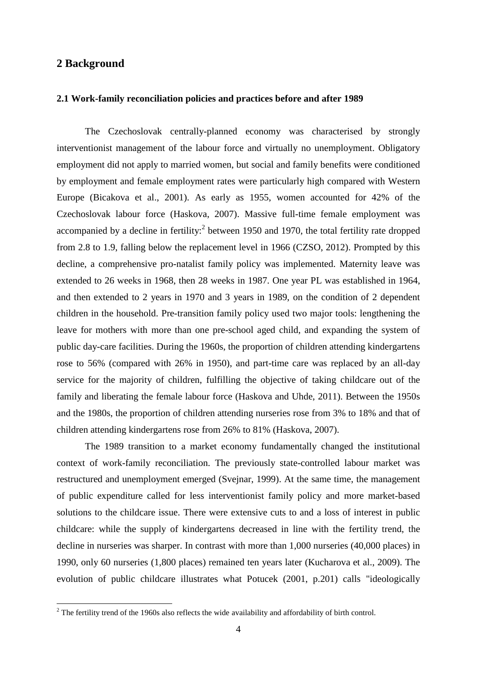## **2 Background**

1

#### **2.1 Work-family reconciliation policies and practices before and after 1989**

The Czechoslovak centrally-planned economy was characterised by strongly interventionist management of the labour force and virtually no unemployment. Obligatory employment did not apply to married women, but social and family benefits were conditioned by employment and female employment rates were particularly high compared with Western Europe (Bicakova et al., 2001). As early as 1955, women accounted for 42% of the Czechoslovak labour force (Haskova, 2007). Massive full-time female employment was accompanied by a decline in fertility:<sup>2</sup> between 1950 and 1970, the total fertility rate dropped from 2.8 to 1.9, falling below the replacement level in 1966 (CZSO, 2012). Prompted by this decline, a comprehensive pro-natalist family policy was implemented. Maternity leave was extended to 26 weeks in 1968, then 28 weeks in 1987. One year PL was established in 1964, and then extended to 2 years in 1970 and 3 years in 1989, on the condition of 2 dependent children in the household. Pre-transition family policy used two major tools: lengthening the leave for mothers with more than one pre-school aged child, and expanding the system of public day-care facilities. During the 1960s, the proportion of children attending kindergartens rose to 56% (compared with 26% in 1950), and part-time care was replaced by an all-day service for the majority of children, fulfilling the objective of taking childcare out of the family and liberating the female labour force (Haskova and Uhde, 2011). Between the 1950s and the 1980s, the proportion of children attending nurseries rose from 3% to 18% and that of children attending kindergartens rose from 26% to 81% (Haskova, 2007).

The 1989 transition to a market economy fundamentally changed the institutional context of work-family reconciliation. The previously state-controlled labour market was restructured and unemployment emerged (Svejnar, 1999). At the same time, the management of public expenditure called for less interventionist family policy and more market-based solutions to the childcare issue. There were extensive cuts to and a loss of interest in public childcare: while the supply of kindergartens decreased in line with the fertility trend, the decline in nurseries was sharper. In contrast with more than 1,000 nurseries (40,000 places) in 1990, only 60 nurseries (1,800 places) remained ten years later (Kucharova et al., 2009). The evolution of public childcare illustrates what Potucek (2001, p.201) calls "ideologically

 $2^{2}$  The fertility trend of the 1960s also reflects the wide availability and affordability of birth control.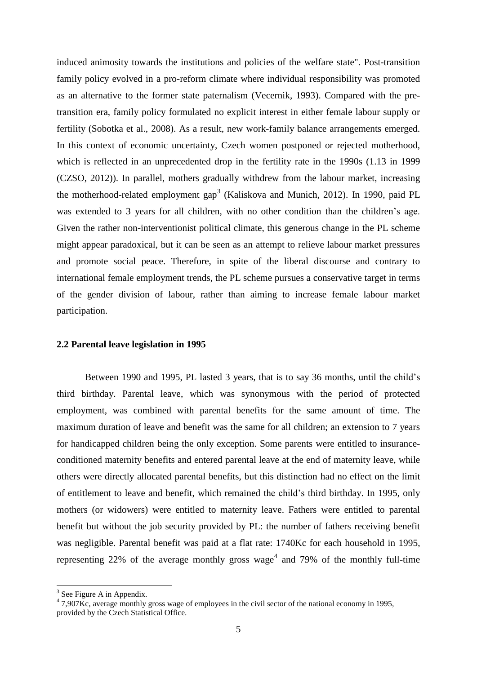induced animosity towards the institutions and policies of the welfare state". Post-transition family policy evolved in a pro-reform climate where individual responsibility was promoted as an alternative to the former state paternalism (Vecernik, 1993). Compared with the pretransition era, family policy formulated no explicit interest in either female labour supply or fertility (Sobotka et al., 2008). As a result, new work-family balance arrangements emerged. In this context of economic uncertainty, Czech women postponed or rejected motherhood, which is reflected in an unprecedented drop in the fertility rate in the 1990s (1.13 in 1999 (CZSO, 2012)). In parallel, mothers gradually withdrew from the labour market, increasing the motherhood-related employment gap<sup>3</sup> (Kaliskova and Munich, 2012). In 1990, paid PL was extended to 3 years for all children, with no other condition than the children's age. Given the rather non-interventionist political climate, this generous change in the PL scheme might appear paradoxical, but it can be seen as an attempt to relieve labour market pressures and promote social peace. Therefore, in spite of the liberal discourse and contrary to international female employment trends, the PL scheme pursues a conservative target in terms of the gender division of labour, rather than aiming to increase female labour market participation.

#### **2.2 Parental leave legislation in 1995**

Between 1990 and 1995, PL lasted 3 years, that is to say 36 months, until the child's third birthday. Parental leave, which was synonymous with the period of protected employment, was combined with parental benefits for the same amount of time. The maximum duration of leave and benefit was the same for all children; an extension to 7 years for handicapped children being the only exception. Some parents were entitled to insuranceconditioned maternity benefits and entered parental leave at the end of maternity leave, while others were directly allocated parental benefits, but this distinction had no effect on the limit of entitlement to leave and benefit, which remained the child's third birthday. In 1995, only mothers (or widowers) were entitled to maternity leave. Fathers were entitled to parental benefit but without the job security provided by PL: the number of fathers receiving benefit was negligible. Parental benefit was paid at a flat rate: 1740Kc for each household in 1995, representing 22% of the average monthly gross wage<sup>4</sup> and 79% of the monthly full-time

<sup>&</sup>lt;sup>3</sup> See Figure A in Appendix.

<sup>&</sup>lt;sup>4</sup> 7,907Kc, average monthly gross wage of employees in the civil sector of the national economy in 1995, provided by the Czech Statistical Office.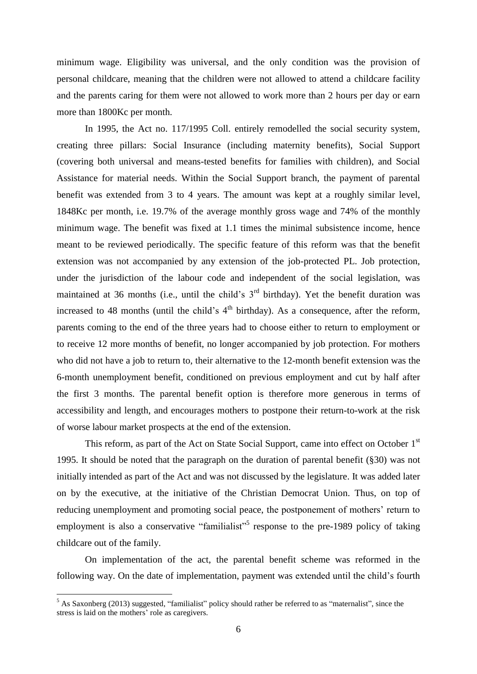minimum wage. Eligibility was universal, and the only condition was the provision of personal childcare, meaning that the children were not allowed to attend a childcare facility and the parents caring for them were not allowed to work more than 2 hours per day or earn more than 1800Kc per month.

In 1995, the Act no. 117/1995 Coll. entirely remodelled the social security system, creating three pillars: Social Insurance (including maternity benefits), Social Support (covering both universal and means-tested benefits for families with children), and Social Assistance for material needs. Within the Social Support branch, the payment of parental benefit was extended from 3 to 4 years. The amount was kept at a roughly similar level, 1848Kc per month, i.e. 19.7% of the average monthly gross wage and 74% of the monthly minimum wage. The benefit was fixed at 1.1 times the minimal subsistence income, hence meant to be reviewed periodically. The specific feature of this reform was that the benefit extension was not accompanied by any extension of the job-protected PL. Job protection, under the jurisdiction of the labour code and independent of the social legislation, was maintained at 36 months (i.e., until the child's  $3<sup>rd</sup>$  birthday). Yet the benefit duration was increased to 48 months (until the child's  $4<sup>th</sup>$  birthday). As a consequence, after the reform, parents coming to the end of the three years had to choose either to return to employment or to receive 12 more months of benefit, no longer accompanied by job protection. For mothers who did not have a job to return to, their alternative to the 12-month benefit extension was the 6-month unemployment benefit, conditioned on previous employment and cut by half after the first 3 months. The parental benefit option is therefore more generous in terms of accessibility and length, and encourages mothers to postpone their return-to-work at the risk of worse labour market prospects at the end of the extension.

This reform, as part of the Act on State Social Support, came into effect on October 1<sup>st</sup> 1995. It should be noted that the paragraph on the duration of parental benefit (§30) was not initially intended as part of the Act and was not discussed by the legislature. It was added later on by the executive, at the initiative of the Christian Democrat Union. Thus, on top of reducing unemployment and promoting social peace, the postponement of mothers' return to employment is also a conservative "familialist"<sup>5</sup> response to the pre-1989 policy of taking childcare out of the family.

On implementation of the act, the parental benefit scheme was reformed in the following way. On the date of implementation, payment was extended until the child's fourth

<u>.</u>

<sup>&</sup>lt;sup>5</sup> As Saxonberg (2013) suggested, "familialist" policy should rather be referred to as "maternalist", since the stress is laid on the mothers' role as caregivers.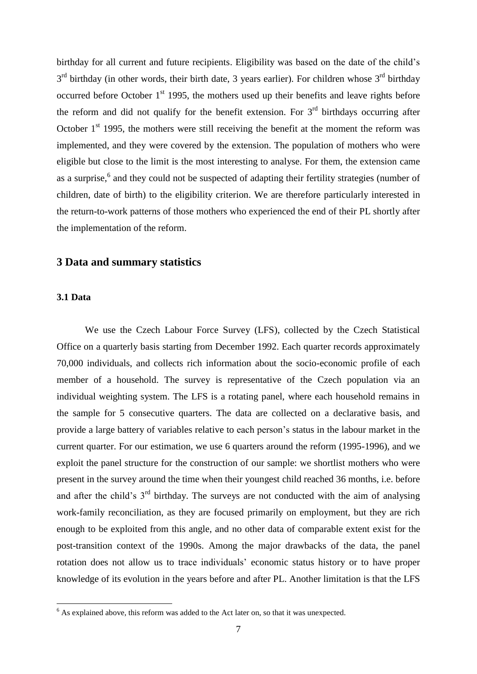birthday for all current and future recipients. Eligibility was based on the date of the child's  $3<sup>rd</sup>$  birthday (in other words, their birth date, 3 years earlier). For children whose  $3<sup>rd</sup>$  birthday occurred before October  $1<sup>st</sup>$  1995, the mothers used up their benefits and leave rights before the reform and did not qualify for the benefit extension. For  $3<sup>rd</sup>$  birthdays occurring after October  $1<sup>st</sup>$  1995, the mothers were still receiving the benefit at the moment the reform was implemented, and they were covered by the extension. The population of mothers who were eligible but close to the limit is the most interesting to analyse. For them, the extension came as a surprise,<sup>6</sup> and they could not be suspected of adapting their fertility strategies (number of children, date of birth) to the eligibility criterion. We are therefore particularly interested in the return-to-work patterns of those mothers who experienced the end of their PL shortly after the implementation of the reform.

## **3 Data and summary statistics**

#### **3.1 Data**

1

We use the Czech Labour Force Survey (LFS), collected by the Czech Statistical Office on a quarterly basis starting from December 1992. Each quarter records approximately 70,000 individuals, and collects rich information about the socio-economic profile of each member of a household. The survey is representative of the Czech population via an individual weighting system. The LFS is a rotating panel, where each household remains in the sample for 5 consecutive quarters. The data are collected on a declarative basis, and provide a large battery of variables relative to each person's status in the labour market in the current quarter. For our estimation, we use 6 quarters around the reform (1995-1996), and we exploit the panel structure for the construction of our sample: we shortlist mothers who were present in the survey around the time when their youngest child reached 36 months, i.e. before and after the child's  $3<sup>rd</sup>$  birthday. The surveys are not conducted with the aim of analysing work-family reconciliation, as they are focused primarily on employment, but they are rich enough to be exploited from this angle, and no other data of comparable extent exist for the post-transition context of the 1990s. Among the major drawbacks of the data, the panel rotation does not allow us to trace individuals' economic status history or to have proper knowledge of its evolution in the years before and after PL. Another limitation is that the LFS

 $6$  As explained above, this reform was added to the Act later on, so that it was unexpected.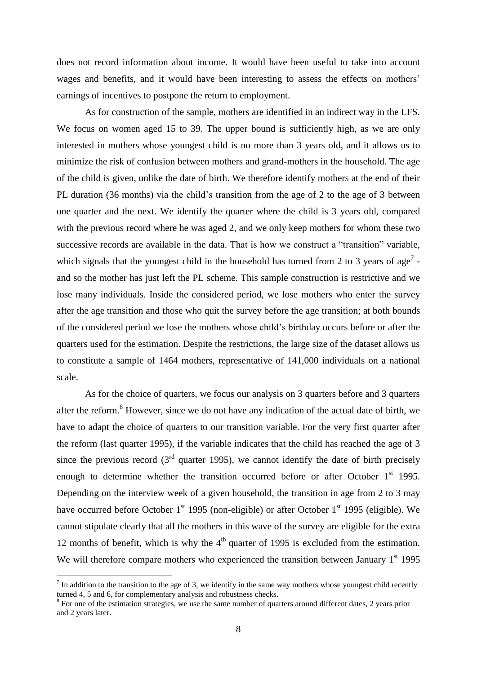does not record information about income. It would have been useful to take into account wages and benefits, and it would have been interesting to assess the effects on mothers' earnings of incentives to postpone the return to employment.

As for construction of the sample, mothers are identified in an indirect way in the LFS. We focus on women aged 15 to 39. The upper bound is sufficiently high, as we are only interested in mothers whose youngest child is no more than 3 years old, and it allows us to minimize the risk of confusion between mothers and grand-mothers in the household. The age of the child is given, unlike the date of birth. We therefore identify mothers at the end of their PL duration (36 months) via the child's transition from the age of 2 to the age of 3 between one quarter and the next. We identify the quarter where the child is 3 years old, compared with the previous record where he was aged 2, and we only keep mothers for whom these two successive records are available in the data. That is how we construct a "transition" variable, which signals that the youngest child in the household has turned from 2 to 3 years of age<sup>7</sup> and so the mother has just left the PL scheme. This sample construction is restrictive and we lose many individuals. Inside the considered period, we lose mothers who enter the survey after the age transition and those who quit the survey before the age transition; at both bounds of the considered period we lose the mothers whose child's birthday occurs before or after the quarters used for the estimation. Despite the restrictions, the large size of the dataset allows us to constitute a sample of 1464 mothers, representative of 141,000 individuals on a national scale.

As for the choice of quarters, we focus our analysis on 3 quarters before and 3 quarters after the reform.<sup>8</sup> However, since we do not have any indication of the actual date of birth, we have to adapt the choice of quarters to our transition variable. For the very first quarter after the reform (last quarter 1995), if the variable indicates that the child has reached the age of 3 since the previous record  $3<sup>rd</sup>$  quarter 1995), we cannot identify the date of birth precisely enough to determine whether the transition occurred before or after October  $1<sup>st</sup>$  1995. Depending on the interview week of a given household, the transition in age from 2 to 3 may have occurred before October  $1<sup>st</sup>$  1995 (non-eligible) or after October  $1<sup>st</sup>$  1995 (eligible). We cannot stipulate clearly that all the mothers in this wave of the survey are eligible for the extra 12 months of benefit, which is why the  $4<sup>th</sup>$  quarter of 1995 is excluded from the estimation. We will therefore compare mothers who experienced the transition between January 1<sup>st</sup> 1995

 $<sup>7</sup>$  In addition to the transition to the age of 3, we identify in the same way mothers whose youngest child recently</sup> turned 4, 5 and 6, for complementary analysis and robustness checks.

<sup>&</sup>lt;sup>8</sup> For one of the estimation strategies, we use the same number of quarters around different dates, 2 years prior and 2 years later.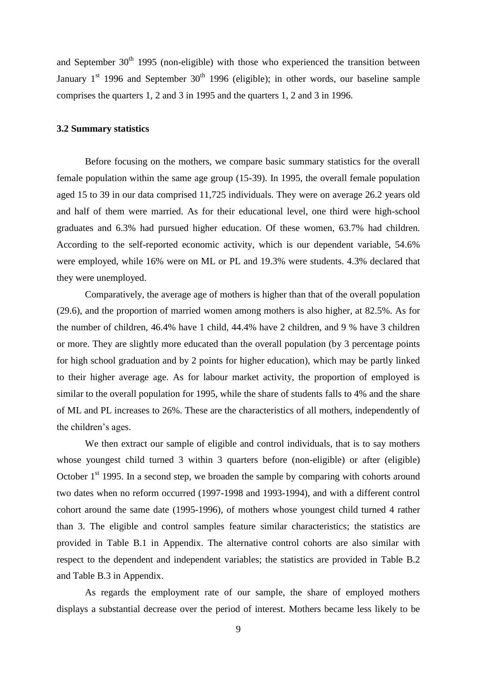and September  $30<sup>th</sup>$  1995 (non-eligible) with those who experienced the transition between January  $1<sup>st</sup>$  1996 and September 30<sup>th</sup> 1996 (eligible); in other words, our baseline sample comprises the quarters 1, 2 and 3 in 1995 and the quarters 1, 2 and 3 in 1996.

## **3.2 Summary statistics**

Before focusing on the mothers, we compare basic summary statistics for the overall female population within the same age group (15-39). In 1995, the overall female population aged 15 to 39 in our data comprised 11,725 individuals. They were on average 26.2 years old and half of them were married. As for their educational level, one third were high-school graduates and 6.3% had pursued higher education. Of these women, 63.7% had children. According to the self-reported economic activity, which is our dependent variable, 54.6% were employed, while 16% were on ML or PL and 19.3% were students. 4.3% declared that they were unemployed.

Comparatively, the average age of mothers is higher than that of the overall population (29.6), and the proportion of married women among mothers is also higher, at 82.5%. As for the number of children, 46.4% have 1 child, 44.4% have 2 children, and 9 % have 3 children or more. They are slightly more educated than the overall population (by 3 percentage points for high school graduation and by 2 points for higher education), which may be partly linked to their higher average age. As for labour market activity, the proportion of employed is similar to the overall population for 1995, while the share of students falls to 4% and the share of ML and PL increases to 26%. These are the characteristics of all mothers, independently of the children's ages.

We then extract our sample of eligible and control individuals, that is to say mothers whose youngest child turned 3 within 3 quarters before (non-eligible) or after (eligible) October  $1<sup>st</sup>$  1995. In a second step, we broaden the sample by comparing with cohorts around two dates when no reform occurred (1997-1998 and 1993-1994), and with a different control cohort around the same date (1995-1996), of mothers whose youngest child turned 4 rather than 3. The eligible and control samples feature similar characteristics; the statistics are provided in Table B.1 in Appendix. The alternative control cohorts are also similar with respect to the dependent and independent variables; the statistics are provided in Table B.2 and Table B.3 in Appendix.

As regards the employment rate of our sample, the share of employed mothers displays a substantial decrease over the period of interest. Mothers became less likely to be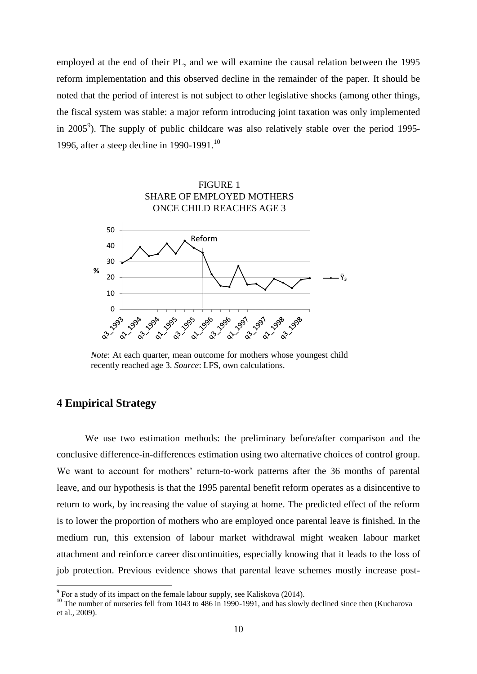employed at the end of their PL, and we will examine the causal relation between the 1995 reform implementation and this observed decline in the remainder of the paper. It should be noted that the period of interest is not subject to other legislative shocks (among other things, the fiscal system was stable: a major reform introducing joint taxation was only implemented in 2005<sup>9</sup>). The supply of public childcare was also relatively stable over the period 1995-1996, after a steep decline in 1990-1991.<sup>10</sup>



*Note*: At each quarter, mean outcome for mothers whose youngest child recently reached age 3. *Source*: LFS, own calculations.

## **4 Empirical Strategy**

1

We use two estimation methods: the preliminary before/after comparison and the conclusive difference-in-differences estimation using two alternative choices of control group. We want to account for mothers' return-to-work patterns after the 36 months of parental leave, and our hypothesis is that the 1995 parental benefit reform operates as a disincentive to return to work, by increasing the value of staying at home. The predicted effect of the reform is to lower the proportion of mothers who are employed once parental leave is finished. In the medium run, this extension of labour market withdrawal might weaken labour market attachment and reinforce career discontinuities, especially knowing that it leads to the loss of job protection. Previous evidence shows that parental leave schemes mostly increase post-

 $9^9$  For a study of its impact on the female labour supply, see Kaliskova (2014).

<sup>&</sup>lt;sup>10</sup> The number of nurseries fell from 1043 to 486 in 1990-1991, and has slowly declined since then (Kucharova et al., 2009).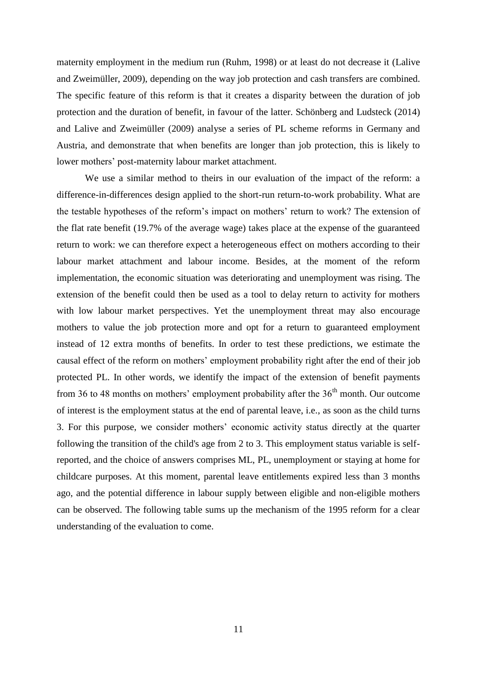maternity employment in the medium run (Ruhm, 1998) or at least do not decrease it (Lalive and Zweimüller, 2009), depending on the way job protection and cash transfers are combined. The specific feature of this reform is that it creates a disparity between the duration of job protection and the duration of benefit, in favour of the latter. Schönberg and Ludsteck (2014) and Lalive and Zweimüller (2009) analyse a series of PL scheme reforms in Germany and Austria, and demonstrate that when benefits are longer than job protection, this is likely to lower mothers' post-maternity labour market attachment.

We use a similar method to theirs in our evaluation of the impact of the reform: a difference-in-differences design applied to the short-run return-to-work probability. What are the testable hypotheses of the reform's impact on mothers' return to work? The extension of the flat rate benefit (19.7% of the average wage) takes place at the expense of the guaranteed return to work: we can therefore expect a heterogeneous effect on mothers according to their labour market attachment and labour income. Besides, at the moment of the reform implementation, the economic situation was deteriorating and unemployment was rising. The extension of the benefit could then be used as a tool to delay return to activity for mothers with low labour market perspectives. Yet the unemployment threat may also encourage mothers to value the job protection more and opt for a return to guaranteed employment instead of 12 extra months of benefits. In order to test these predictions, we estimate the causal effect of the reform on mothers' employment probability right after the end of their job protected PL. In other words, we identify the impact of the extension of benefit payments from 36 to 48 months on mothers' employment probability after the  $36<sup>th</sup>$  month. Our outcome of interest is the employment status at the end of parental leave, i.e., as soon as the child turns 3. For this purpose, we consider mothers' economic activity status directly at the quarter following the transition of the child's age from 2 to 3. This employment status variable is selfreported, and the choice of answers comprises ML, PL, unemployment or staying at home for childcare purposes. At this moment, parental leave entitlements expired less than 3 months ago, and the potential difference in labour supply between eligible and non-eligible mothers can be observed. The following table sums up the mechanism of the 1995 reform for a clear understanding of the evaluation to come.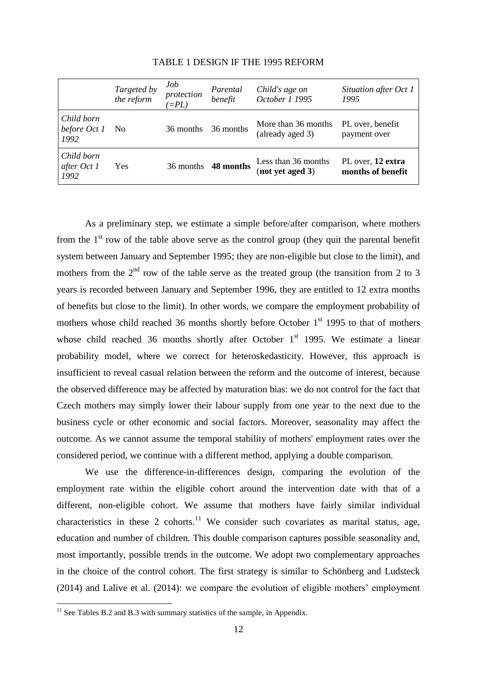|                                    | Targeted by<br>the reform | Job<br>protection<br>$E = PL$ | Parental<br>benefit | Child's age on<br>October 1 1995        | Situation after Oct 1<br>1995          |
|------------------------------------|---------------------------|-------------------------------|---------------------|-----------------------------------------|----------------------------------------|
| Child born<br>before Oct 1<br>1992 | - No                      | 36 months                     | 36 months           | More than 36 months<br>(already aged 3) | PL over, benefit<br>payment over       |
| Child born<br>after Oct 1<br>1992  | Yes                       | 36 months                     | 48 months           | Less than 36 months<br>(not yet aged 3) | PL over, 12 extra<br>months of benefit |

## TABLE 1 DESIGN IF THE 1995 REFORM

As a preliminary step, we estimate a simple before/after comparison, where mothers from the  $1<sup>st</sup>$  row of the table above serve as the control group (they quit the parental benefit system between January and September 1995; they are non-eligible but close to the limit), and mothers from the  $2<sup>nd</sup>$  row of the table serve as the treated group (the transition from 2 to 3 years is recorded between January and September 1996, they are entitled to 12 extra months of benefits but close to the limit). In other words, we compare the employment probability of mothers whose child reached 36 months shortly before October  $1<sup>st</sup>$  1995 to that of mothers whose child reached 36 months shortly after October  $1<sup>st</sup>$  1995. We estimate a linear probability model, where we correct for heteroskedasticity. However, this approach is insufficient to reveal casual relation between the reform and the outcome of interest, because the observed difference may be affected by maturation bias: we do not control for the fact that Czech mothers may simply lower their labour supply from one year to the next due to the business cycle or other economic and social factors. Moreover, seasonality may affect the outcome. As we cannot assume the temporal stability of mothers' employment rates over the considered period, we continue with a different method, applying a double comparison.

We use the difference-in-differences design, comparing the evolution of the employment rate within the eligible cohort around the intervention date with that of a different, non-eligible cohort. We assume that mothers have fairly similar individual characteristics in these 2 cohorts.<sup>11</sup> We consider such covariates as marital status, age, education and number of children. This double comparison captures possible seasonality and, most importantly, possible trends in the outcome. We adopt two complementary approaches in the choice of the control cohort. The first strategy is similar to Schönberg and Ludsteck (2014) and Lalive et al. (2014): we compare the evolution of eligible mothers' employment

 $11$  See Tables B.2 and B.3 with summary statistics of the sample, in Appendix.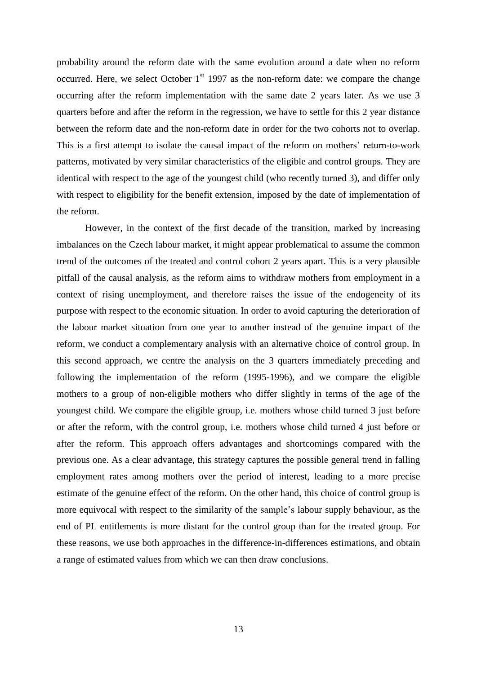probability around the reform date with the same evolution around a date when no reform occurred. Here, we select October  $1<sup>st</sup>$  1997 as the non-reform date: we compare the change occurring after the reform implementation with the same date 2 years later. As we use 3 quarters before and after the reform in the regression, we have to settle for this 2 year distance between the reform date and the non-reform date in order for the two cohorts not to overlap. This is a first attempt to isolate the causal impact of the reform on mothers' return-to-work patterns, motivated by very similar characteristics of the eligible and control groups. They are identical with respect to the age of the youngest child (who recently turned 3), and differ only with respect to eligibility for the benefit extension, imposed by the date of implementation of the reform.

However, in the context of the first decade of the transition, marked by increasing imbalances on the Czech labour market, it might appear problematical to assume the common trend of the outcomes of the treated and control cohort 2 years apart. This is a very plausible pitfall of the causal analysis, as the reform aims to withdraw mothers from employment in a context of rising unemployment, and therefore raises the issue of the endogeneity of its purpose with respect to the economic situation. In order to avoid capturing the deterioration of the labour market situation from one year to another instead of the genuine impact of the reform, we conduct a complementary analysis with an alternative choice of control group. In this second approach, we centre the analysis on the 3 quarters immediately preceding and following the implementation of the reform (1995-1996), and we compare the eligible mothers to a group of non-eligible mothers who differ slightly in terms of the age of the youngest child. We compare the eligible group, i.e. mothers whose child turned 3 just before or after the reform, with the control group, i.e. mothers whose child turned 4 just before or after the reform. This approach offers advantages and shortcomings compared with the previous one. As a clear advantage, this strategy captures the possible general trend in falling employment rates among mothers over the period of interest, leading to a more precise estimate of the genuine effect of the reform. On the other hand, this choice of control group is more equivocal with respect to the similarity of the sample's labour supply behaviour, as the end of PL entitlements is more distant for the control group than for the treated group. For these reasons, we use both approaches in the difference-in-differences estimations, and obtain a range of estimated values from which we can then draw conclusions.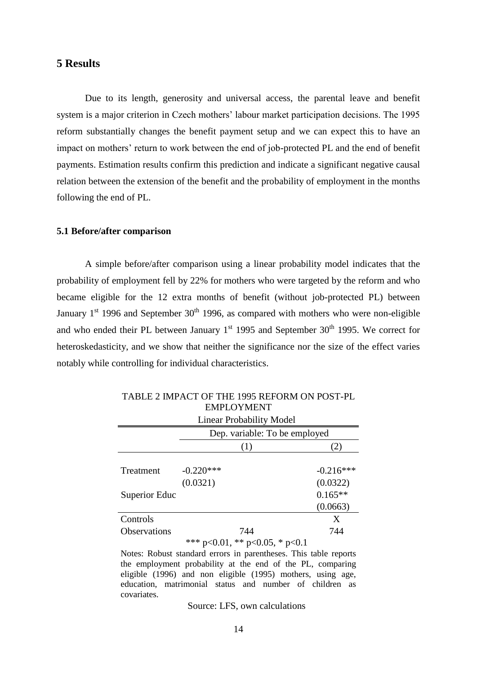## **5 Results**

Due to its length, generosity and universal access, the parental leave and benefit system is a major criterion in Czech mothers' labour market participation decisions. The 1995 reform substantially changes the benefit payment setup and we can expect this to have an impact on mothers' return to work between the end of job-protected PL and the end of benefit payments. Estimation results confirm this prediction and indicate a significant negative causal relation between the extension of the benefit and the probability of employment in the months following the end of PL.

#### **5.1 Before/after comparison**

A simple before/after comparison using a linear probability model indicates that the probability of employment fell by 22% for mothers who were targeted by the reform and who became eligible for the 12 extra months of benefit (without job-protected PL) between January  $1<sup>st</sup>$  1996 and September 30<sup>th</sup> 1996, as compared with mothers who were non-eligible and who ended their PL between January  $1<sup>st</sup>$  1995 and September 30<sup>th</sup> 1995. We correct for heteroskedasticity, and we show that neither the significance nor the size of the effect varies notably while controlling for individual characteristics.

|                     | <b>Linear Probability Model</b> |             |  |
|---------------------|---------------------------------|-------------|--|
|                     | Dep. variable: To be employed   |             |  |
|                     | (1)                             | (2)         |  |
|                     |                                 |             |  |
| Treatment           | $-0.220***$                     | $-0.216***$ |  |
|                     | (0.0321)                        | (0.0322)    |  |
| Superior Educ       |                                 | $0.165**$   |  |
|                     |                                 | (0.0663)    |  |
| Controls            |                                 | X           |  |
| <b>Observations</b> | 744                             | 744         |  |
|                     | *** p<0.01, ** p<0.05, * p<0.1  |             |  |

## TABLE 2 IMPACT OF THE 1995 REFORM ON POST-PL EMPLOYMENT

Notes: Robust standard errors in parentheses. This table reports the employment probability at the end of the PL, comparing eligible (1996) and non eligible (1995) mothers, using age, education, matrimonial status and number of children as covariates.

Source: LFS, own calculations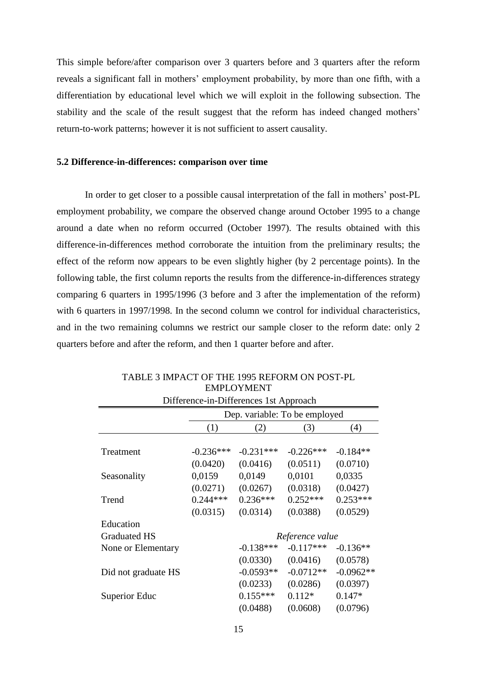This simple before/after comparison over 3 quarters before and 3 quarters after the reform reveals a significant fall in mothers' employment probability, by more than one fifth, with a differentiation by educational level which we will exploit in the following subsection. The stability and the scale of the result suggest that the reform has indeed changed mothers' return-to-work patterns; however it is not sufficient to assert causality.

#### **5.2 Difference-in-differences: comparison over time**

In order to get closer to a possible causal interpretation of the fall in mothers' post-PL employment probability, we compare the observed change around October 1995 to a change around a date when no reform occurred (October 1997). The results obtained with this difference-in-differences method corroborate the intuition from the preliminary results; the effect of the reform now appears to be even slightly higher (by 2 percentage points). In the following table, the first column reports the results from the difference-in-differences strategy comparing 6 quarters in 1995/1996 (3 before and 3 after the implementation of the reform) with 6 quarters in 1997/1998. In the second column we control for individual characteristics, and in the two remaining columns we restrict our sample closer to the reform date: only 2 quarters before and after the reform, and then 1 quarter before and after.

| Difference-in-Differences 1st Approach |                               |                 |             |             |  |
|----------------------------------------|-------------------------------|-----------------|-------------|-------------|--|
|                                        | Dep. variable: To be employed |                 |             |             |  |
|                                        | (1)                           | (2)             | (3)         | (4)         |  |
|                                        |                               |                 |             |             |  |
| Treatment                              | $-0.236***$                   | $-0.231***$     | $-0.226***$ | $-0.184**$  |  |
|                                        | (0.0420)                      | (0.0416)        | (0.0511)    | (0.0710)    |  |
| Seasonality                            | 0,0159                        | 0,0149          | 0,0101      | 0,0335      |  |
|                                        | (0.0271)                      | (0.0267)        | (0.0318)    | (0.0427)    |  |
| Trend                                  | $0.244***$                    | $0.236***$      | $0.252***$  | $0.253***$  |  |
|                                        | (0.0315)                      | (0.0314)        | (0.0388)    | (0.0529)    |  |
| Education                              |                               |                 |             |             |  |
| <b>Graduated HS</b>                    |                               | Reference value |             |             |  |
| None or Elementary                     |                               | $-0.138***$     | $-0.117***$ | $-0.136**$  |  |
|                                        |                               | (0.0330)        | (0.0416)    | (0.0578)    |  |
| Did not graduate HS                    |                               | $-0.0593**$     | $-0.0712**$ | $-0.0962**$ |  |
|                                        |                               | (0.0233)        | (0.0286)    | (0.0397)    |  |
| Superior Educ                          |                               | $0.155***$      | $0.112*$    | $0.147*$    |  |
|                                        |                               | (0.0488)        | (0.0608)    | (0.0796)    |  |

TABLE 3 IMPACT OF THE 1995 REFORM ON POST-PL EMPLOYMENT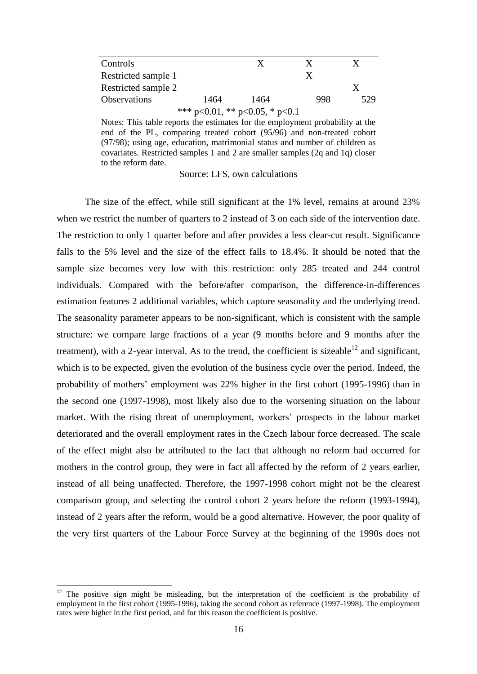| Controls                       |      | X    | X   |     |  |  |  |
|--------------------------------|------|------|-----|-----|--|--|--|
| Restricted sample 1            |      |      | X   |     |  |  |  |
| Restricted sample 2            |      |      |     |     |  |  |  |
| <b>Observations</b>            | 1464 | 1464 | 998 | 529 |  |  |  |
| *** p<0.01, ** p<0.05, * p<0.1 |      |      |     |     |  |  |  |

Notes: This table reports the estimates for the employment probability at the end of the PL, comparing treated cohort (95/96) and non-treated cohort (97/98); using age, education, matrimonial status and number of children as covariates. Restricted samples 1 and 2 are smaller samples (2q and 1q) closer to the reform date.

Source: LFS, own calculations

The size of the effect, while still significant at the 1% level, remains at around 23% when we restrict the number of quarters to 2 instead of 3 on each side of the intervention date. The restriction to only 1 quarter before and after provides a less clear-cut result. Significance falls to the 5% level and the size of the effect falls to 18.4%. It should be noted that the sample size becomes very low with this restriction: only 285 treated and 244 control individuals. Compared with the before/after comparison, the difference-in-differences estimation features 2 additional variables, which capture seasonality and the underlying trend. The seasonality parameter appears to be non-significant, which is consistent with the sample structure: we compare large fractions of a year (9 months before and 9 months after the treatment), with a 2-year interval. As to the trend, the coefficient is sizeable<sup>12</sup> and significant, which is to be expected, given the evolution of the business cycle over the period. Indeed, the probability of mothers' employment was 22% higher in the first cohort (1995-1996) than in the second one (1997-1998), most likely also due to the worsening situation on the labour market. With the rising threat of unemployment, workers' prospects in the labour market deteriorated and the overall employment rates in the Czech labour force decreased. The scale of the effect might also be attributed to the fact that although no reform had occurred for mothers in the control group, they were in fact all affected by the reform of 2 years earlier, instead of all being unaffected. Therefore, the 1997-1998 cohort might not be the clearest comparison group, and selecting the control cohort 2 years before the reform (1993-1994), instead of 2 years after the reform, would be a good alternative. However, the poor quality of the very first quarters of the Labour Force Survey at the beginning of the 1990s does not

<sup>&</sup>lt;sup>12</sup> The positive sign might be misleading, but the interpretation of the coefficient is the probability of employment in the first cohort (1995-1996), taking the second cohort as reference (1997-1998). The employment rates were higher in the first period, and for this reason the coefficient is positive.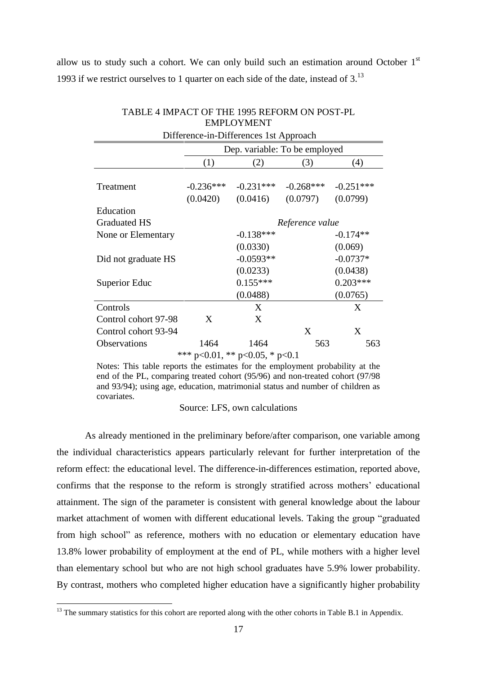allow us to study such a cohort. We can only build such an estimation around October  $1<sup>st</sup>$ 1993 if we restrict ourselves to 1 quarter on each side of the date, instead of  $3<sup>13</sup>$ 

| <b>EMPLOYMENT</b>                      |                                        |            |                                                  |                         |  |  |  |  |
|----------------------------------------|----------------------------------------|------------|--------------------------------------------------|-------------------------|--|--|--|--|
|                                        | Difference-in-Differences 1st Approach |            |                                                  |                         |  |  |  |  |
|                                        | Dep. variable: To be employed          |            |                                                  |                         |  |  |  |  |
|                                        | (3)                                    | (4)        |                                                  |                         |  |  |  |  |
| Treatment                              | $-0.236***$<br>(0.0420)                |            | $-0.231***$ $-0.268***$<br>$(0.0416)$ $(0.0797)$ | $-0.251***$<br>(0.0799) |  |  |  |  |
| Education                              |                                        |            |                                                  |                         |  |  |  |  |
| <b>Graduated HS</b>                    | Reference value                        |            |                                                  |                         |  |  |  |  |
| None or Elementary                     | $-0.138***$                            |            |                                                  | $-0.174**$              |  |  |  |  |
|                                        | (0.0330)                               |            |                                                  | (0.069)                 |  |  |  |  |
| Did not graduate HS                    | $-0.0593**$                            |            |                                                  | $-0.0737*$              |  |  |  |  |
|                                        | (0.0233)                               |            | (0.0438)                                         |                         |  |  |  |  |
| Superior Educ                          |                                        | $0.155***$ |                                                  | $0.203***$              |  |  |  |  |
|                                        | (0.0488)                               |            | (0.0765)                                         |                         |  |  |  |  |
| Controls                               |                                        | X          |                                                  | X                       |  |  |  |  |
| Control cohort 97-98                   | X                                      | X          |                                                  |                         |  |  |  |  |
| Control cohort 93-94                   |                                        |            | X                                                | X                       |  |  |  |  |
| Observations                           | 1464                                   | 1464       | 563                                              | 563                     |  |  |  |  |
| *** $p<0.01$ , ** $p<0.05$ , * $p<0.1$ |                                        |            |                                                  |                         |  |  |  |  |

# TABLE 4 IMPACT OF THE 1995 REFORM ON POST-PL

Notes: This table reports the estimates for the employment probability at the end of the PL, comparing treated cohort (95/96) and non-treated cohort (97/98 and 93/94); using age, education, matrimonial status and number of children as covariates.

## Source: LFS, own calculations

As already mentioned in the preliminary before/after comparison, one variable among the individual characteristics appears particularly relevant for further interpretation of the reform effect: the educational level. The difference-in-differences estimation, reported above, confirms that the response to the reform is strongly stratified across mothers' educational attainment. The sign of the parameter is consistent with general knowledge about the labour market attachment of women with different educational levels. Taking the group "graduated from high school" as reference, mothers with no education or elementary education have 13.8% lower probability of employment at the end of PL, while mothers with a higher level than elementary school but who are not high school graduates have 5.9% lower probability. By contrast, mothers who completed higher education have a significantly higher probability

 $13$  The summary statistics for this cohort are reported along with the other cohorts in Table B.1 in Appendix.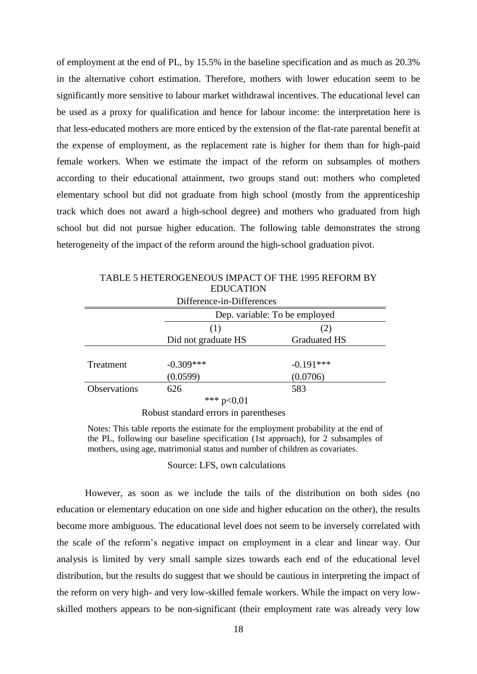of employment at the end of PL, by 15.5% in the baseline specification and as much as 20.3% in the alternative cohort estimation. Therefore, mothers with lower education seem to be significantly more sensitive to labour market withdrawal incentives. The educational level can be used as a proxy for qualification and hence for labour income: the interpretation here is that less-educated mothers are more enticed by the extension of the flat-rate parental benefit at the expense of employment, as the replacement rate is higher for them than for high-paid female workers. When we estimate the impact of the reform on subsamples of mothers according to their educational attainment, two groups stand out: mothers who completed elementary school but did not graduate from high school (mostly from the apprenticeship track which does not award a high-school degree) and mothers who graduated from high school but did not pursue higher education. The following table demonstrates the strong heterogeneity of the impact of the reform around the high-school graduation pivot.

| Difference-in-Differences |                               |                     |  |  |  |  |
|---------------------------|-------------------------------|---------------------|--|--|--|--|
|                           | Dep. variable: To be employed |                     |  |  |  |  |
|                           | (1)                           | (2)                 |  |  |  |  |
|                           | Did not graduate HS           | <b>Graduated HS</b> |  |  |  |  |
|                           |                               |                     |  |  |  |  |
| Treatment                 | $-0.309***$                   | $-0.191***$         |  |  |  |  |
|                           | (0.0599)                      | (0.0706)            |  |  |  |  |
| Observations              | 626                           | 583                 |  |  |  |  |
|                           | d                             |                     |  |  |  |  |

TABLE 5 HETEROGENEOUS IMPACT OF THE 1995 REFORM BY EDUCATION

\*\*\*  $p<0.01$ 

Robust standard errors in parentheses

Notes: This table reports the estimate for the employment probability at the end of the PL, following our baseline specification (1st approach), for 2 subsamples of mothers, using age, matrimonial status and number of children as covariates.

Source: LFS, own calculations

However, as soon as we include the tails of the distribution on both sides (no education or elementary education on one side and higher education on the other), the results become more ambiguous. The educational level does not seem to be inversely correlated with the scale of the reform's negative impact on employment in a clear and linear way. Our analysis is limited by very small sample sizes towards each end of the educational level distribution, but the results do suggest that we should be cautious in interpreting the impact of the reform on very high- and very low-skilled female workers. While the impact on very lowskilled mothers appears to be non-significant (their employment rate was already very low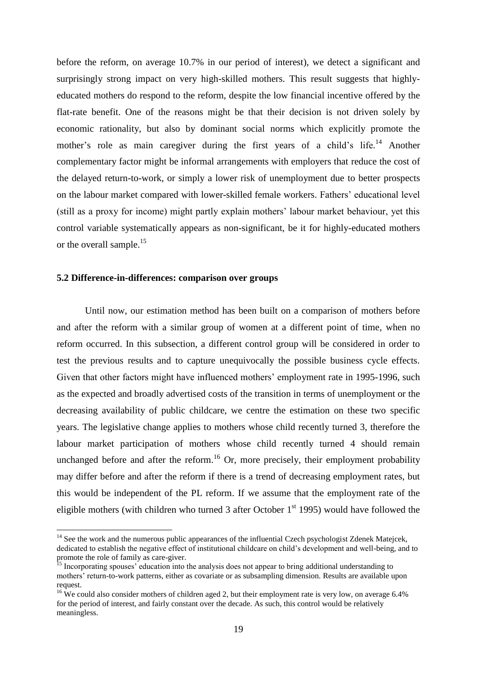before the reform, on average 10.7% in our period of interest), we detect a significant and surprisingly strong impact on very high-skilled mothers. This result suggests that highlyeducated mothers do respond to the reform, despite the low financial incentive offered by the flat-rate benefit. One of the reasons might be that their decision is not driven solely by economic rationality, but also by dominant social norms which explicitly promote the mother's role as main caregiver during the first years of a child's life.<sup>14</sup> Another complementary factor might be informal arrangements with employers that reduce the cost of the delayed return-to-work, or simply a lower risk of unemployment due to better prospects on the labour market compared with lower-skilled female workers. Fathers' educational level (still as a proxy for income) might partly explain mothers' labour market behaviour, yet this control variable systematically appears as non-significant, be it for highly-educated mothers or the overall sample.<sup>15</sup>

#### **5.2 Difference-in-differences: comparison over groups**

1

Until now, our estimation method has been built on a comparison of mothers before and after the reform with a similar group of women at a different point of time, when no reform occurred. In this subsection, a different control group will be considered in order to test the previous results and to capture unequivocally the possible business cycle effects. Given that other factors might have influenced mothers' employment rate in 1995-1996, such as the expected and broadly advertised costs of the transition in terms of unemployment or the decreasing availability of public childcare, we centre the estimation on these two specific years. The legislative change applies to mothers whose child recently turned 3, therefore the labour market participation of mothers whose child recently turned 4 should remain unchanged before and after the reform.<sup>16</sup> Or, more precisely, their employment probability may differ before and after the reform if there is a trend of decreasing employment rates, but this would be independent of the PL reform. If we assume that the employment rate of the eligible mothers (with children who turned 3 after October  $1<sup>st</sup>$  1995) would have followed the

 $14$  See the work and the numerous public appearances of the influential Czech psychologist Zdenek Matejcek, dedicated to establish the negative effect of institutional childcare on child's development and well-being, and to promote the role of family as care-giver.

<sup>&</sup>lt;sup>15</sup> Incorporating spouses' education into the analysis does not appear to bring additional understanding to mothers' return-to-work patterns, either as covariate or as subsampling dimension. Results are available upon request

 $16$  We could also consider mothers of children aged 2, but their employment rate is very low, on average 6.4% for the period of interest, and fairly constant over the decade. As such, this control would be relatively meaningless.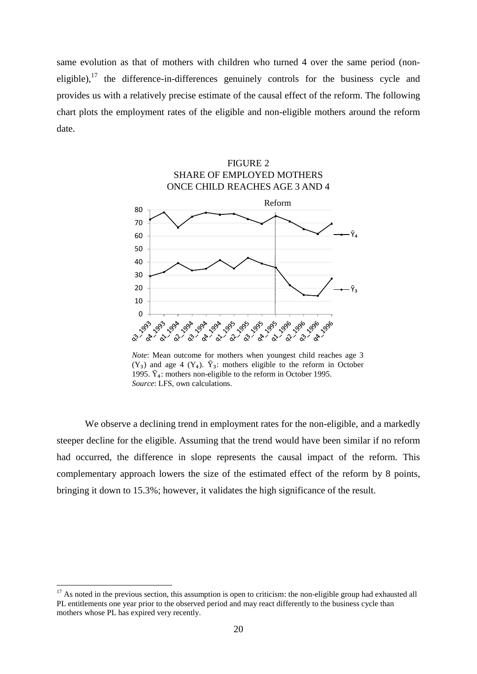same evolution as that of mothers with children who turned 4 over the same period (noneligible), $17$  the difference-in-differences genuinely controls for the business cycle and provides us with a relatively precise estimate of the causal effect of the reform. The following chart plots the employment rates of the eligible and non-eligible mothers around the reform date.



*Note*: Mean outcome for mothers when youngest child reaches age 3  $(Y_3)$  and age 4  $(Y_4)$ .  $\bar{Y}_3$ : mothers eligible to the reform in October 1995.  $\bar{Y}_4$ : mothers non-eligible to the reform in October 1995. *Source*: LFS, own calculations.

We observe a declining trend in employment rates for the non-eligible, and a markedly steeper decline for the eligible. Assuming that the trend would have been similar if no reform had occurred, the difference in slope represents the causal impact of the reform. This complementary approach lowers the size of the estimated effect of the reform by 8 points, bringing it down to 15.3%; however, it validates the high significance of the result.

 $17$  As noted in the previous section, this assumption is open to criticism: the non-eligible group had exhausted all PL entitlements one year prior to the observed period and may react differently to the business cycle than mothers whose PL has expired very recently.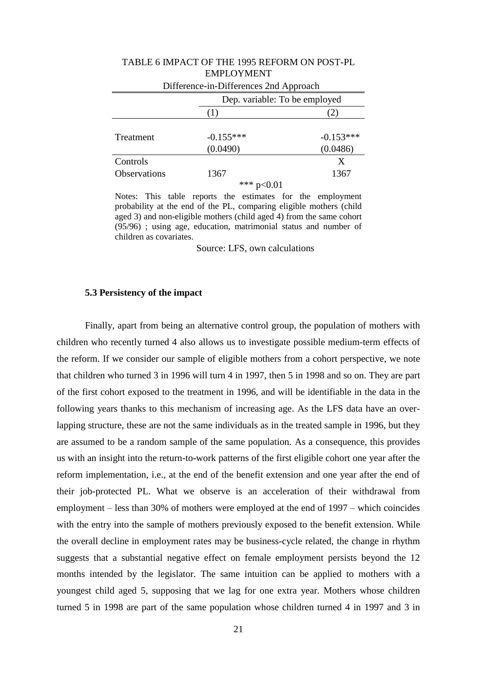| Difference-in-Differences 2nd Approach |                               |             |  |  |  |
|----------------------------------------|-------------------------------|-------------|--|--|--|
|                                        | Dep. variable: To be employed |             |  |  |  |
|                                        | ( 1 )                         | $\angle$ )  |  |  |  |
|                                        |                               |             |  |  |  |
| Treatment                              | $-0.155***$                   | $-0.153***$ |  |  |  |
|                                        | (0.0490)                      | (0.0486)    |  |  |  |
| Controls                               |                               | X           |  |  |  |
| Observations                           | 1367                          | 1367        |  |  |  |
|                                        | *** $p<0.01$                  |             |  |  |  |

## TABLE 6 IMPACT OF THE 1995 REFORM ON POST-PL EMPLOYMENT

Notes: This table reports the estimates for the employment probability at the end of the PL, comparing eligible mothers (child aged 3) and non-eligible mothers (child aged 4) from the same cohort (95/96) ; using age, education, matrimonial status and number of children as covariates.

Source: LFS, own calculations

#### **5.3 Persistency of the impact**

Finally, apart from being an alternative control group, the population of mothers with children who recently turned 4 also allows us to investigate possible medium-term effects of the reform. If we consider our sample of eligible mothers from a cohort perspective, we note that children who turned 3 in 1996 will turn 4 in 1997, then 5 in 1998 and so on. They are part of the first cohort exposed to the treatment in 1996, and will be identifiable in the data in the following years thanks to this mechanism of increasing age. As the LFS data have an overlapping structure, these are not the same individuals as in the treated sample in 1996, but they are assumed to be a random sample of the same population. As a consequence, this provides us with an insight into the return-to-work patterns of the first eligible cohort one year after the reform implementation, i.e., at the end of the benefit extension and one year after the end of their job-protected PL. What we observe is an acceleration of their withdrawal from employment – less than 30% of mothers were employed at the end of 1997 – which coincides with the entry into the sample of mothers previously exposed to the benefit extension. While the overall decline in employment rates may be business-cycle related, the change in rhythm suggests that a substantial negative effect on female employment persists beyond the 12 months intended by the legislator. The same intuition can be applied to mothers with a youngest child aged 5, supposing that we lag for one extra year. Mothers whose children turned 5 in 1998 are part of the same population whose children turned 4 in 1997 and 3 in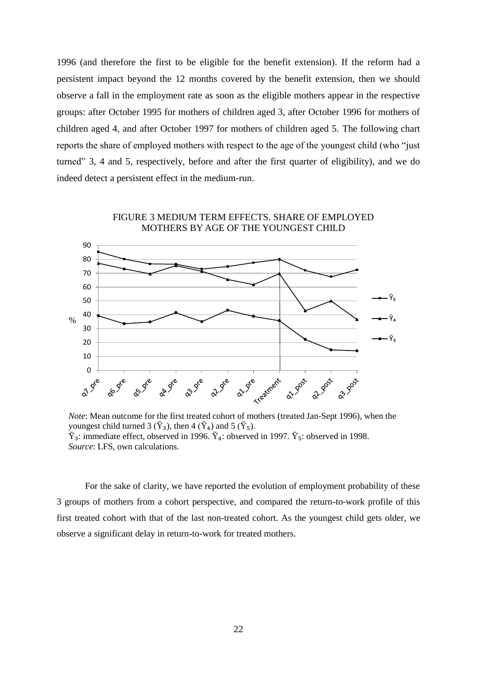1996 (and therefore the first to be eligible for the benefit extension). If the reform had a persistent impact beyond the 12 months covered by the benefit extension, then we should observe a fall in the employment rate as soon as the eligible mothers appear in the respective groups: after October 1995 for mothers of children aged 3, after October 1996 for mothers of children aged 4, and after October 1997 for mothers of children aged 5. The following chart reports the share of employed mothers with respect to the age of the youngest child (who "just turned" 3, 4 and 5, respectively, before and after the first quarter of eligibility), and we do indeed detect a persistent effect in the medium-run.

FIGURE 3 MEDIUM TERM EFFECTS. SHARE OF EMPLOYED



e earment **Q11 YOON** 21.1805-

*Note*: Mean outcome for the first treated cohort of mothers (treated Jan-Sept 1996), when the youngest child turned 3 ( $\bar{Y}_3$ ), then 4 ( $\bar{Y}_4$ ) and 5 ( $\bar{Y}_5$ ).  $\bar{Y}_3$ : immediate effect, observed in 1996.  $\bar{Y}_4$ : observed in 1997.  $\bar{Y}_5$ : observed in 1998. *Source*: LFS, own calculations.

For the sake of clarity, we have reported the evolution of employment probability of these 3 groups of mothers from a cohort perspective, and compared the return-to-work profile of this first treated cohort with that of the last non-treated cohort. As the youngest child gets older, we observe a significant delay in return-to-work for treated mothers.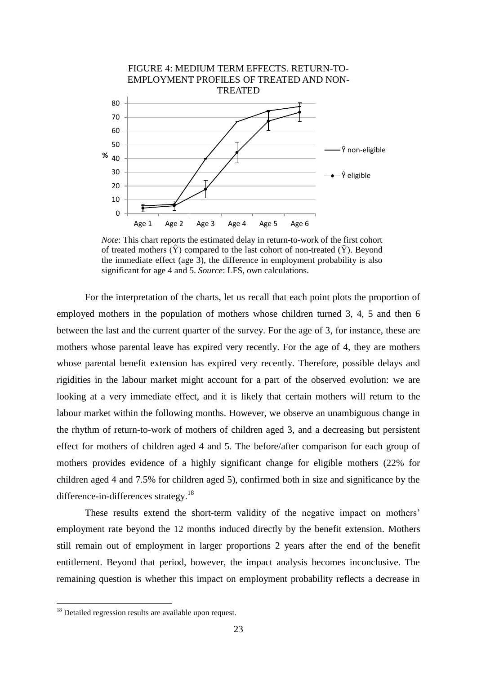

*Note*: This chart reports the estimated delay in return-to-work of the first cohort of treated mothers  $(\hat{Y})$  compared to the last cohort of non-treated  $(\bar{Y})$ . Beyond the immediate effect (age  $3$ ), the difference in employment probability is also significant for age 4 and 5. *Source*: LFS, own calculations.

For the interpretation of the charts, let us recall that each point plots the proportion of employed mothers in the population of mothers whose children turned 3, 4, 5 and then 6 between the last and the current quarter of the survey. For the age of 3, for instance, these are mothers whose parental leave has expired very recently. For the age of 4, they are mothers whose parental benefit extension has expired very recently. Therefore, possible delays and rigidities in the labour market might account for a part of the observed evolution: we are looking at a very immediate effect, and it is likely that certain mothers will return to the labour market within the following months. However, we observe an unambiguous change in the rhythm of return-to-work of mothers of children aged 3, and a decreasing but persistent effect for mothers of children aged 4 and 5. The before/after comparison for each group of mothers provides evidence of a highly significant change for eligible mothers (22% for children aged 4 and 7.5% for children aged 5), confirmed both in size and significance by the difference-in-differences strategy.<sup>18</sup>

These results extend the short-term validity of the negative impact on mothers' employment rate beyond the 12 months induced directly by the benefit extension. Mothers still remain out of employment in larger proportions 2 years after the end of the benefit entitlement. Beyond that period, however, the impact analysis becomes inconclusive. The remaining question is whether this impact on employment probability reflects a decrease in

<sup>&</sup>lt;sup>18</sup> Detailed regression results are available upon request.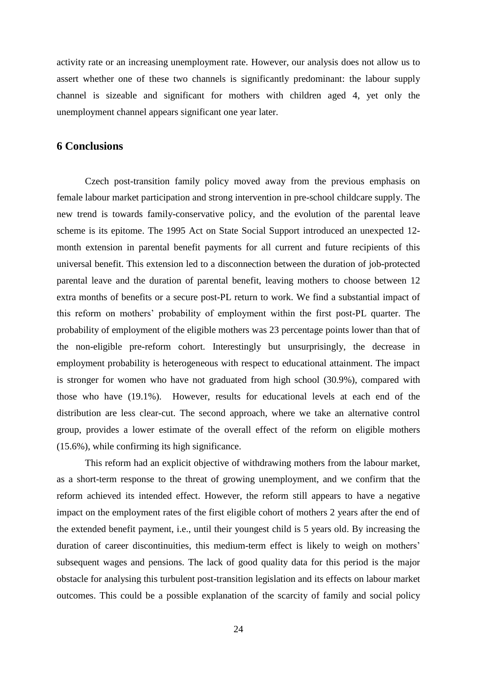activity rate or an increasing unemployment rate. However, our analysis does not allow us to assert whether one of these two channels is significantly predominant: the labour supply channel is sizeable and significant for mothers with children aged 4, yet only the unemployment channel appears significant one year later.

## **6 Conclusions**

Czech post-transition family policy moved away from the previous emphasis on female labour market participation and strong intervention in pre-school childcare supply. The new trend is towards family-conservative policy, and the evolution of the parental leave scheme is its epitome. The 1995 Act on State Social Support introduced an unexpected 12 month extension in parental benefit payments for all current and future recipients of this universal benefit. This extension led to a disconnection between the duration of job-protected parental leave and the duration of parental benefit, leaving mothers to choose between 12 extra months of benefits or a secure post-PL return to work. We find a substantial impact of this reform on mothers' probability of employment within the first post-PL quarter. The probability of employment of the eligible mothers was 23 percentage points lower than that of the non-eligible pre-reform cohort. Interestingly but unsurprisingly, the decrease in employment probability is heterogeneous with respect to educational attainment. The impact is stronger for women who have not graduated from high school (30.9%), compared with those who have (19.1%). However, results for educational levels at each end of the distribution are less clear-cut. The second approach, where we take an alternative control group, provides a lower estimate of the overall effect of the reform on eligible mothers (15.6%), while confirming its high significance.

This reform had an explicit objective of withdrawing mothers from the labour market, as a short-term response to the threat of growing unemployment, and we confirm that the reform achieved its intended effect. However, the reform still appears to have a negative impact on the employment rates of the first eligible cohort of mothers 2 years after the end of the extended benefit payment, i.e., until their youngest child is 5 years old. By increasing the duration of career discontinuities, this medium-term effect is likely to weigh on mothers' subsequent wages and pensions. The lack of good quality data for this period is the major obstacle for analysing this turbulent post-transition legislation and its effects on labour market outcomes. This could be a possible explanation of the scarcity of family and social policy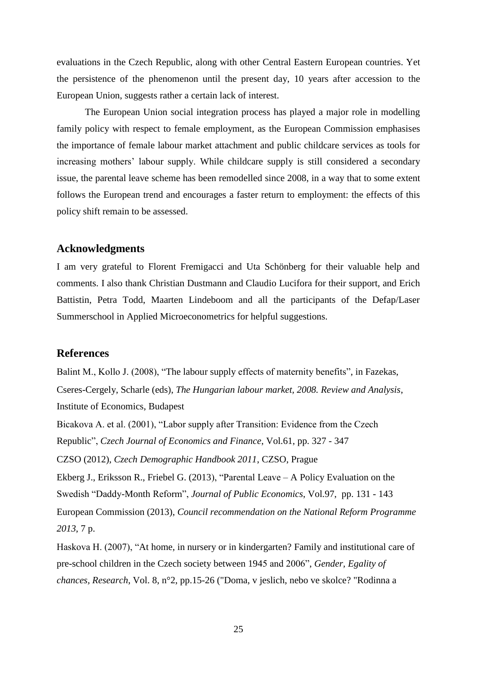evaluations in the Czech Republic, along with other Central Eastern European countries. Yet the persistence of the phenomenon until the present day, 10 years after accession to the European Union, suggests rather a certain lack of interest.

The European Union social integration process has played a major role in modelling family policy with respect to female employment, as the European Commission emphasises the importance of female labour market attachment and public childcare services as tools for increasing mothers' labour supply. While childcare supply is still considered a secondary issue, the parental leave scheme has been remodelled since 2008, in a way that to some extent follows the European trend and encourages a faster return to employment: the effects of this policy shift remain to be assessed.

## **Acknowledgments**

I am very grateful to Florent Fremigacci and Uta Schönberg for their valuable help and comments. I also thank Christian Dustmann and Claudio Lucifora for their support, and Erich Battistin, Petra Todd, Maarten Lindeboom and all the participants of the Defap/Laser Summerschool in Applied Microeconometrics for helpful suggestions.

## **References**

Balint M., Kollo J. (2008), "The labour supply effects of maternity benefits", in Fazekas, Cseres-Cergely, Scharle (eds), *The Hungarian labour market, 2008. Review and Analysis*, Institute of Economics, Budapest

Bicakova A. et al. (2001), "Labor supply after Transition: Evidence from the Czech Republic", *Czech Journal of Economics and Finance*, Vol.61, pp. 327 - 347

CZSO (2012), *Czech Demographic Handbook 2011*, CZSO, Prague

Ekberg J., Eriksson R., Friebel G. (2013), "Parental Leave – A Policy Evaluation on the Swedish "Daddy-Month Reform", *Journal of Public Economics*, Vol.97, pp. 131 - 143

European Commission (2013), *Council recommendation on the National Reform Programme 2013*, 7 p.

Haskova H. (2007), "At home, in nursery or in kindergarten? Family and institutional care of pre-school children in the Czech society between 1945 and 2006", *Gender, Egality of chances, Research*, Vol. 8, n°2, pp.15-26 ("Doma, v jeslich, nebo ve skolce? "Rodinna a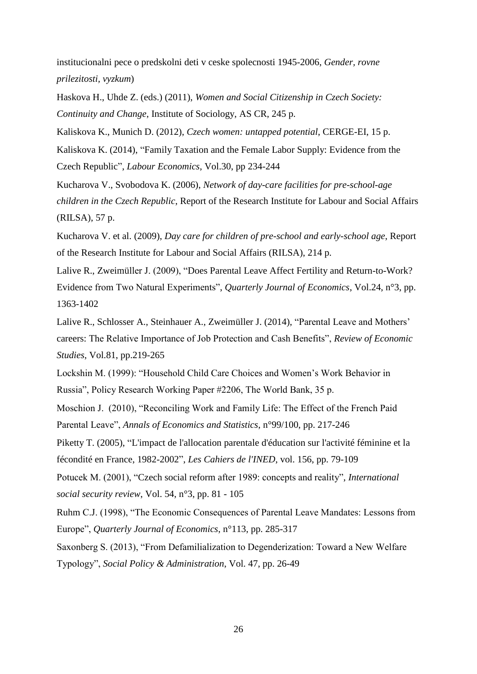institucionalni pece o predskolni deti v ceske spolecnosti 1945-2006, *Gender, rovne prilezitosti, vyzkum*)

Haskova H., Uhde Z. (eds.) (2011), *Women and Social Citizenship in Czech Society: Continuity and Change*, Institute of Sociology, AS CR, 245 p.

Kaliskova K., Munich D. (2012), *Czech women: untapped potential*, CERGE-EI, 15 p. Kaliskova K. (2014), "Family Taxation and the Female Labor Supply: Evidence from the Czech Republic", *Labour Economics*, Vol.30, pp 234-244

Kucharova V., Svobodova K. (2006), *Network of day-care facilities for pre-school-age children in the Czech Republic*, Report of the Research Institute for Labour and Social Affairs (RILSA), 57 p.

Kucharova V. et al. (2009), *Day care for children of pre-school and early-school age*, Report of the Research Institute for Labour and Social Affairs (RILSA), 214 p.

Lalive R., Zweimüller J. (2009), "Does Parental Leave Affect Fertility and Return-to-Work? Evidence from Two Natural Experiments", *Quarterly Journal of Economics*, Vol.24, n°3, pp. 1363-1402

Lalive R., Schlosser A., Steinhauer A., Zweimüller J. (2014), "Parental Leave and Mothers' careers: The Relative Importance of Job Protection and Cash Benefits", *Review of Economic Studies*, Vol.81, pp.219-265

Lockshin M. (1999): "Household Child Care Choices and Women's Work Behavior in Russia", Policy Research Working Paper #2206, The World Bank, 35 p.

Moschion J. (2010), "Reconciling Work and Family Life: The Effect of the French Paid Parental Leave", *Annals of Economics and Statistics*, n°99/100, pp. 217-246

Piketty T. (2005), "L'impact de l'allocation parentale d'éducation sur l'activité féminine et la fécondité en France, 1982-2002", *Les Cahiers de l'INED*, vol. 156, pp. 79-109

Potucek M. (2001), "Czech social reform after 1989: concepts and reality", *International social security review*, Vol. 54, n°3, pp. 81 - 105

Ruhm C.J. (1998), "The Economic Consequences of Parental Leave Mandates: Lessons from Europe", *Quarterly Journal of Economics*, n°113, pp. 285-317

Saxonberg S. (2013), "From Defamilialization to Degenderization: Toward a New Welfare Typology", *Social Policy & Administration*, Vol. 47, pp. 26-49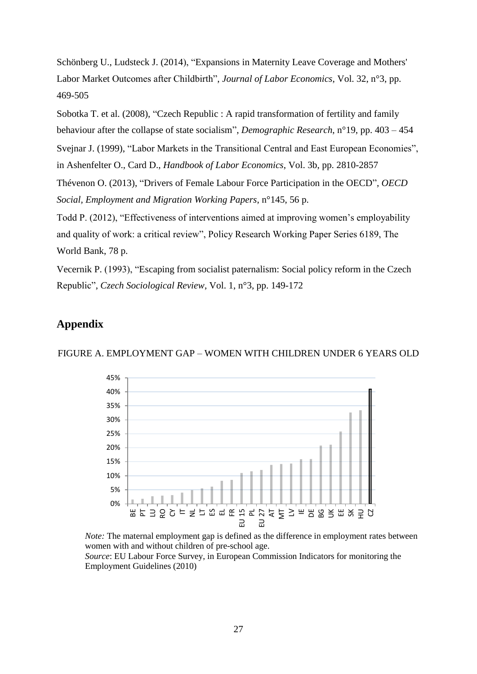Schönberg U., Ludsteck J. (2014), "Expansions in Maternity Leave Coverage and Mothers' Labor Market Outcomes after Childbirth", *Journal of Labor Economics*, Vol. 32, n°3, pp. 469-505

Sobotka T. et al. (2008), "Czech Republic : A rapid transformation of fertility and family behaviour after the collapse of state socialism", *Demographic Research*, n°19, pp. 403 – 454

Svejnar J. (1999), "Labor Markets in the Transitional Central and East European Economies",

in Ashenfelter O., Card D., *Handbook of Labor Economics*, Vol. 3b, pp. 2810-2857

Thévenon O. (2013), "Drivers of Female Labour Force Participation in the OECD", *OECD Social, Employment and Migration Working Papers*, n°145, 56 p.

Todd P. (2012), "Effectiveness of interventions aimed at improving women's employability and quality of work: a critical review", Policy Research Working Paper Series 6189, The World Bank, 78 p.

Vecernik P. (1993), "Escaping from socialist paternalism: Social policy reform in the Czech Republic", *Czech Sociological Review*, Vol. 1, n°3, pp. 149-172

## **Appendix**



FIGURE A. EMPLOYMENT GAP – WOMEN WITH CHILDREN UNDER 6 YEARS OLD

*Note:* The maternal employment gap is defined as the difference in employment rates between women with and without children of pre-school age. *Source*: EU Labour Force Survey, in European Commission Indicators for monitoring the Employment Guidelines (2010)